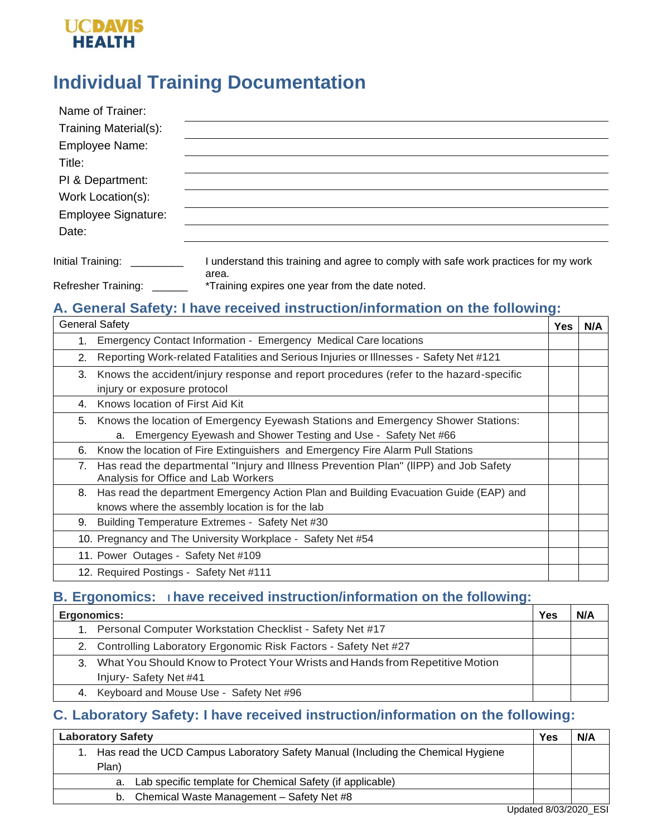## **UCDAVIS HEALTH**

# **Individual Training Documentation**

| Name of Trainer:           |                                                                                              |
|----------------------------|----------------------------------------------------------------------------------------------|
| Training Material(s):      |                                                                                              |
| Employee Name:             |                                                                                              |
| Title:                     |                                                                                              |
| PI & Department:           |                                                                                              |
| Work Location(s):          |                                                                                              |
| <b>Employee Signature:</b> |                                                                                              |
| Date:                      |                                                                                              |
| Initial Training:          | I understand this training and agree to comply with safe work practices for my work<br>area. |
| <b>Refresher Training:</b> | *Training expires one year from the date noted.                                              |

#### **A. General Safety: I have received instruction/information on the following:**

| <b>General Safety</b> |                                                                                                                             | <b>Yes</b> | N/A |
|-----------------------|-----------------------------------------------------------------------------------------------------------------------------|------------|-----|
|                       | Emergency Contact Information - Emergency Medical Care locations                                                            |            |     |
| 2.                    | Reporting Work-related Fatalities and Serious Injuries or Illnesses - Safety Net #121                                       |            |     |
| 3.                    | Knows the accident/injury response and report procedures (refer to the hazard-specific                                      |            |     |
|                       | injury or exposure protocol                                                                                                 |            |     |
| 4.                    | Knows location of First Aid Kit                                                                                             |            |     |
|                       | 5. Knows the location of Emergency Eyewash Stations and Emergency Shower Stations:                                          |            |     |
|                       | Emergency Eyewash and Shower Testing and Use - Safety Net #66<br>а.                                                         |            |     |
| 6.                    | Know the location of Fire Extinguishers and Emergency Fire Alarm Pull Stations                                              |            |     |
| 7.                    | Has read the departmental "Injury and Illness Prevention Plan" (IIPP) and Job Safety<br>Analysis for Office and Lab Workers |            |     |
| 8.                    | Has read the department Emergency Action Plan and Building Evacuation Guide (EAP) and                                       |            |     |
|                       | knows where the assembly location is for the lab                                                                            |            |     |
| 9.                    | Building Temperature Extremes - Safety Net #30                                                                              |            |     |
|                       | 10. Pregnancy and The University Workplace - Safety Net #54                                                                 |            |     |
|                       | 11. Power Outages - Safety Net #109                                                                                         |            |     |
|                       | 12. Required Postings - Safety Net #111                                                                                     |            |     |

### **B. Ergonomics: I have received instruction/information on the following:**

| Ergonomics: |                                                                                 | Yes | N/A |
|-------------|---------------------------------------------------------------------------------|-----|-----|
|             | Personal Computer Workstation Checklist - Safety Net #17                        |     |     |
|             | 2. Controlling Laboratory Ergonomic Risk Factors - Safety Net #27               |     |     |
|             | 3. What You Should Know to Protect Your Wrists and Hands from Repetitive Motion |     |     |
|             | Injury- Safety Net #41                                                          |     |     |
|             | 4. Keyboard and Mouse Use - Safety Net #96                                      |     |     |

## **C. Laboratory Safety: I have received instruction/information on the following:**

| <b>Laboratory Safety</b>                                                         |  |  |
|----------------------------------------------------------------------------------|--|--|
| Has read the UCD Campus Laboratory Safety Manual (Including the Chemical Hygiene |  |  |
| Plan)                                                                            |  |  |
| Lab specific template for Chemical Safety (if applicable)<br>a.                  |  |  |
| Chemical Waste Management - Safety Net #8<br>b.                                  |  |  |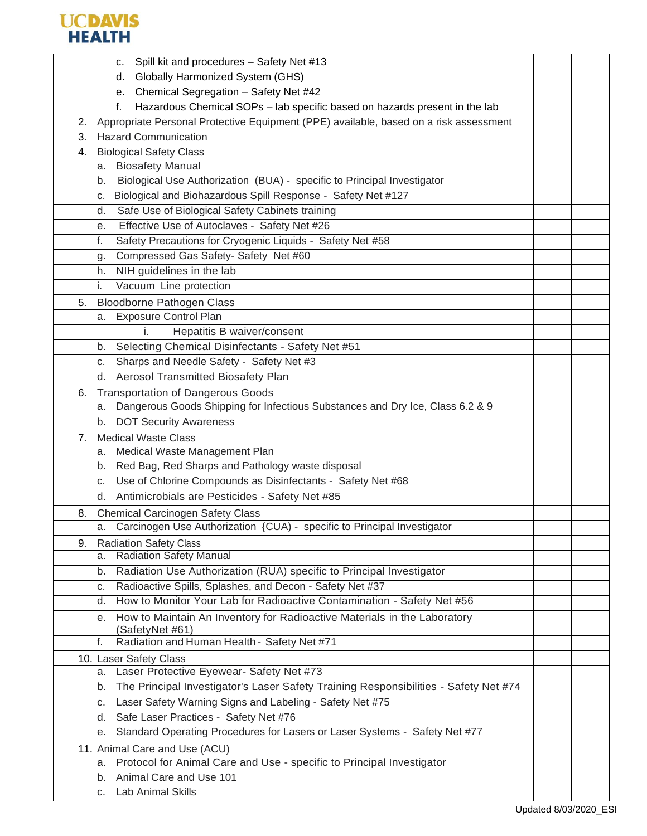

| Spill kit and procedures - Safety Net #13<br>C.                                             |  |
|---------------------------------------------------------------------------------------------|--|
| Globally Harmonized System (GHS)<br>d.                                                      |  |
| Chemical Segregation - Safety Net #42<br>e.                                                 |  |
| Hazardous Chemical SOPs - lab specific based on hazards present in the lab<br>f.            |  |
| Appropriate Personal Protective Equipment (PPE) available, based on a risk assessment<br>2. |  |
| <b>Hazard Communication</b><br>3.                                                           |  |
| <b>Biological Safety Class</b><br>4.                                                        |  |
| <b>Biosafety Manual</b><br>а.                                                               |  |
| Biological Use Authorization (BUA) - specific to Principal Investigator<br>b.               |  |
| Biological and Biohazardous Spill Response - Safety Net #127<br>C.                          |  |
| Safe Use of Biological Safety Cabinets training<br>d.                                       |  |
| Effective Use of Autoclaves - Safety Net #26<br>е.                                          |  |
| Safety Precautions for Cryogenic Liquids - Safety Net #58<br>f.                             |  |
| Compressed Gas Safety- Safety Net #60<br>g.                                                 |  |
| NIH guidelines in the lab<br>h.                                                             |  |
| Vacuum Line protection<br>i.                                                                |  |
| <b>Bloodborne Pathogen Class</b><br>5.                                                      |  |
| <b>Exposure Control Plan</b><br>а.                                                          |  |
| Hepatitis B waiver/consent                                                                  |  |
| b. Selecting Chemical Disinfectants - Safety Net #51                                        |  |
| Sharps and Needle Safety - Safety Net #3<br>c.                                              |  |
| Aerosol Transmitted Biosafety Plan<br>d.                                                    |  |
| <b>Transportation of Dangerous Goods</b><br>6.                                              |  |
| Dangerous Goods Shipping for Infectious Substances and Dry Ice, Class 6.2 & 9<br>а.         |  |
| <b>DOT Security Awareness</b><br>b.                                                         |  |
| <b>Medical Waste Class</b><br>7.                                                            |  |
| Medical Waste Management Plan<br>а.                                                         |  |
| Red Bag, Red Sharps and Pathology waste disposal<br>b.                                      |  |
| Use of Chlorine Compounds as Disinfectants - Safety Net #68<br>C.                           |  |
| Antimicrobials are Pesticides - Safety Net #85<br>d.                                        |  |
| <b>Chemical Carcinogen Safety Class</b><br>8.                                               |  |
| Carcinogen Use Authorization {CUA) - specific to Principal Investigator<br>а.               |  |
| <b>Radiation Safety Class</b><br>9.                                                         |  |
| a. Radiation Safety Manual                                                                  |  |
| Radiation Use Authorization (RUA) specific to Principal Investigator<br>b.                  |  |
| Radioactive Spills, Splashes, and Decon - Safety Net #37<br>C.                              |  |
| How to Monitor Your Lab for Radioactive Contamination - Safety Net #56<br>d.                |  |
| How to Maintain An Inventory for Radioactive Materials in the Laboratory<br>е.              |  |
| (SafetyNet #61)                                                                             |  |
| Radiation and Human Health - Safety Net #71<br>f.                                           |  |
| 10. Laser Safety Class                                                                      |  |
| Laser Protective Eyewear- Safety Net #73<br>а.                                              |  |
| b. The Principal Investigator's Laser Safety Training Responsibilities - Safety Net #74     |  |
| Laser Safety Warning Signs and Labeling - Safety Net #75<br>c.                              |  |
| Safe Laser Practices - Safety Net #76<br>d.                                                 |  |
| Standard Operating Procedures for Lasers or Laser Systems - Safety Net #77<br>е.            |  |
| 11. Animal Care and Use (ACU)                                                               |  |
| Protocol for Animal Care and Use - specific to Principal Investigator<br>а.                 |  |
| b. Animal Care and Use 101                                                                  |  |
| Lab Animal Skills                                                                           |  |